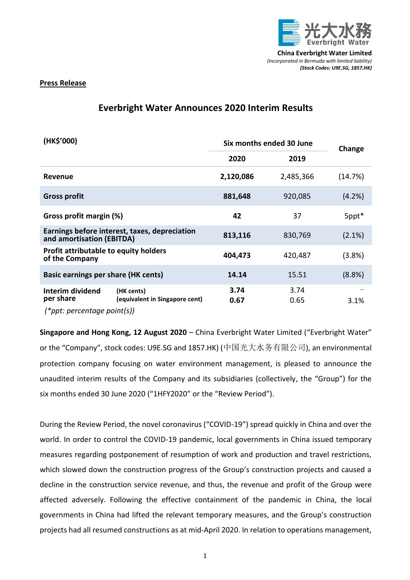

## **Press Release**

# **Everbright Water Announces 2020 Interim Results**

| (HK\$'000)                                                                 |                                              | Six months ended 30 June |              | Change    |
|----------------------------------------------------------------------------|----------------------------------------------|--------------------------|--------------|-----------|
|                                                                            |                                              | 2020                     | 2019         |           |
| <b>Revenue</b>                                                             |                                              | 2,120,086                | 2,485,366    | (14.7%)   |
| <b>Gross profit</b>                                                        |                                              | 881,648                  | 920,085      | (4.2%)    |
| Gross profit margin (%)                                                    |                                              | 42                       | 37           | 5ppt*     |
| Earnings before interest, taxes, depreciation<br>and amortisation (EBITDA) |                                              | 813,116                  | 830,769      | $(2.1\%)$ |
| Profit attributable to equity holders<br>of the Company                    |                                              | 404,473                  | 420,487      | (3.8%)    |
| <b>Basic earnings per share (HK cents)</b>                                 |                                              | 14.14                    | 15.51        | (8.8%)    |
| Interim dividend<br>per share<br>$(*ppt: percentage point(s))$             | (HK cents)<br>(equivalent in Singapore cent) | 3.74<br>0.67             | 3.74<br>0.65 | 3.1%      |

**Singapore and Hong Kong, 12 August 2020** – China Everbright Water Limited ("Everbright Water" or the "Company", stock codes: U9E.SG and 1857.HK) (中国光大水务有限公司), an environmental protection company focusing on water environment management, is pleased to announce the unaudited interim results of the Company and its subsidiaries (collectively, the "Group") for the six months ended 30 June 2020 ("1HFY2020" or the "Review Period").

During the Review Period, the novel coronavirus ("COVID-19") spread quickly in China and over the world. In order to control the COVID-19 pandemic, local governments in China issued temporary measures regarding postponement of resumption of work and production and travel restrictions, which slowed down the construction progress of the Group's construction projects and caused a decline in the construction service revenue, and thus, the revenue and profit of the Group were affected adversely. Following the effective containment of the pandemic in China, the local governments in China had lifted the relevant temporary measures, and the Group's construction projects had all resumed constructions as at mid-April 2020. In relation to operations management,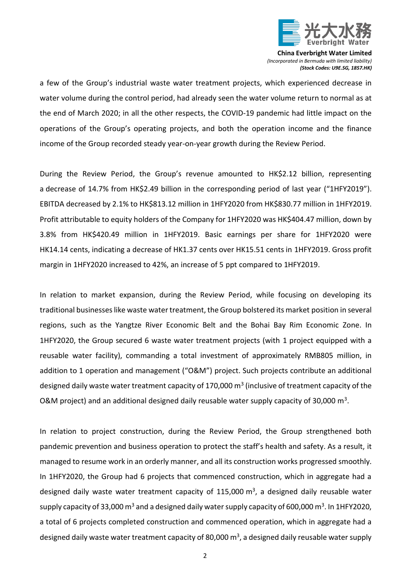

a few of the Group's industrial waste water treatment projects, which experienced decrease in water volume during the control period, had already seen the water volume return to normal as at the end of March 2020; in all the other respects, the COVID-19 pandemic had little impact on the operations of the Group's operating projects, and both the operation income and the finance income of the Group recorded steady year-on-year growth during the Review Period.

During the Review Period, the Group's revenue amounted to HK\$2.12 billion, representing a decrease of 14.7% from HK\$2.49 billion in the corresponding period of last year ("1HFY2019"). EBITDA decreased by 2.1% to HK\$813.12 million in 1HFY2020 from HK\$830.77 million in 1HFY2019. Profit attributable to equity holders of the Company for 1HFY2020 was HK\$404.47 million, down by 3.8% from HK\$420.49 million in 1HFY2019. Basic earnings per share for 1HFY2020 were HK14.14 cents, indicating a decrease of HK1.37 cents over HK15.51 cents in 1HFY2019. Gross profit margin in 1HFY2020 increased to 42%, an increase of 5 ppt compared to 1HFY2019.

In relation to market expansion, during the Review Period, while focusing on developing its traditional businesses like waste water treatment, the Group bolstered its market position in several regions, such as the Yangtze River Economic Belt and the Bohai Bay Rim Economic Zone. In 1HFY2020, the Group secured 6 waste water treatment projects (with 1 project equipped with a reusable water facility), commanding a total investment of approximately RMB805 million, in addition to 1 operation and management ("O&M") project. Such projects contribute an additional designed daily waste water treatment capacity of 170,000  $\text{m}^{3}$  (inclusive of treatment capacity of the O&M project) and an additional designed daily reusable water supply capacity of 30,000 m<sup>3</sup>.

In relation to project construction, during the Review Period, the Group strengthened both pandemic prevention and business operation to protect the staff's health and safety. As a result, it managed to resume work in an orderly manner, and all its construction works progressed smoothly. In 1HFY2020, the Group had 6 projects that commenced construction, which in aggregate had a designed daily waste water treatment capacity of 115,000 m<sup>3</sup>, a designed daily reusable water supply capacity of 33,000  $\textsf{m}^{3}$  and a designed daily water supply capacity of 600,000  $\textsf{m}^{3}$ . In 1HFY2020, a total of 6 projects completed construction and commenced operation, which in aggregate had a designed daily waste water treatment capacity of 80,000  $\text{m}^3$ , a designed daily reusable water supply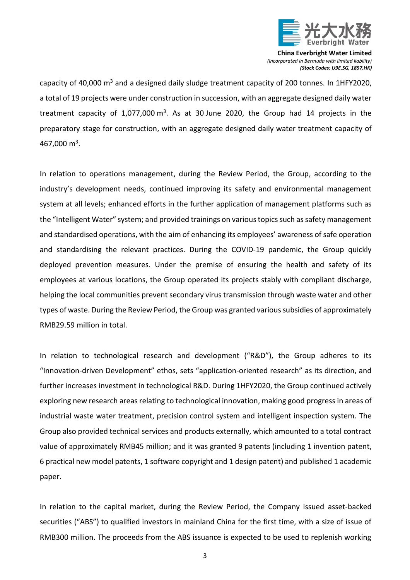

capacity of 40,000  $\text{m}^3$  and a designed daily sludge treatment capacity of 200 tonnes. In 1HFY2020, a total of 19 projects were under construction in succession, with an aggregate designed daily water treatment capacity of 1,077,000 m<sup>3</sup>. As at 30 June 2020, the Group had 14 projects in the preparatory stage for construction, with an aggregate designed daily water treatment capacity of 467,000 m<sup>3</sup>.

In relation to operations management, during the Review Period, the Group, according to the industry's development needs, continued improving its safety and environmental management system at all levels; enhanced efforts in the further application of management platforms such as the "Intelligent Water" system; and provided trainings on various topics such as safety management and standardised operations, with the aim of enhancing its employees' awareness of safe operation and standardising the relevant practices. During the COVID-19 pandemic, the Group quickly deployed prevention measures. Under the premise of ensuring the health and safety of its employees at various locations, the Group operated its projects stably with compliant discharge, helping the local communities prevent secondary virus transmission through waste water and other types of waste. During the Review Period, the Group was granted various subsidies of approximately RMB29.59 million in total.

In relation to technological research and development ("R&D"), the Group adheres to its "Innovation-driven Development" ethos, sets "application-oriented research" as its direction, and further increases investment in technological R&D. During 1HFY2020, the Group continued actively exploring new research areas relating to technological innovation, making good progress in areas of industrial waste water treatment, precision control system and intelligent inspection system. The Group also provided technical services and products externally, which amounted to a total contract value of approximately RMB45 million; and it was granted 9 patents (including 1 invention patent, 6 practical new model patents, 1 software copyright and 1 design patent) and published 1 academic paper.

In relation to the capital market, during the Review Period, the Company issued asset-backed securities ("ABS") to qualified investors in mainland China for the first time, with a size of issue of RMB300 million. The proceeds from the ABS issuance is expected to be used to replenish working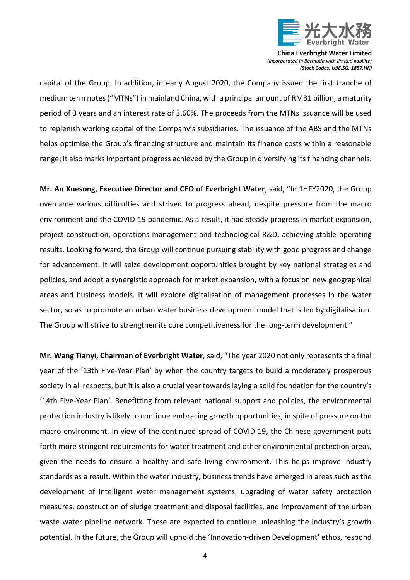

capital of the Group. In addition, in early August 2020, the Company issued the first tranche of medium term notes ("MTNs") in mainland China, with a principal amount of RMB1 billion, a maturity period of 3 years and an interest rate of 3.60%. The proceeds from the MTNs issuance will be used to replenish working capital of the Company's subsidiaries. The issuance of the ABS and the MTNs helps optimise the Group's financing structure and maintain its finance costs within a reasonable range; it also marks important progress achieved by the Group in diversifying its financing channels.

**Mr. An Xuesong**, **Executive Director and CEO of Everbright Water**, said, "In 1HFY2020, the Group overcame various difficulties and strived to progress ahead, despite pressure from the macro environment and the COVID-19 pandemic. As a result, it had steady progress in market expansion, project construction, operations management and technological R&D, achieving stable operating results. Looking forward, the Group will continue pursuing stability with good progress and change for advancement. It will seize development opportunities brought by key national strategies and policies, and adopt a synergistic approach for market expansion, with a focus on new geographical areas and business models. It will explore digitalisation of management processes in the water sector, so as to promote an urban water business development model that is led by digitalisation. The Group will strive to strengthen its core competitiveness for the long-term development."

**Mr. Wang Tianyi, Chairman of Everbright Water**, said, "The year 2020 not only represents the final year of the '13th Five-Year Plan' by when the country targets to build a moderately prosperous society in all respects, but it is also a crucial year towards laying a solid foundation for the country's '14th Five-Year Plan'. Benefitting from relevant national support and policies, the environmental protection industry is likely to continue embracing growth opportunities, in spite of pressure on the macro environment. In view of the continued spread of COVID-19, the Chinese government puts forth more stringent requirements for water treatment and other environmental protection areas, given the needs to ensure a healthy and safe living environment. This helps improve industry standards as a result. Within the water industry, business trends have emerged in areas such as the development of intelligent water management systems, upgrading of water safety protection measures, construction of sludge treatment and disposal facilities, and improvement of the urban waste water pipeline network. These are expected to continue unleashing the industry's growth potential. In the future, the Group will uphold the 'Innovation-driven Development' ethos, respond